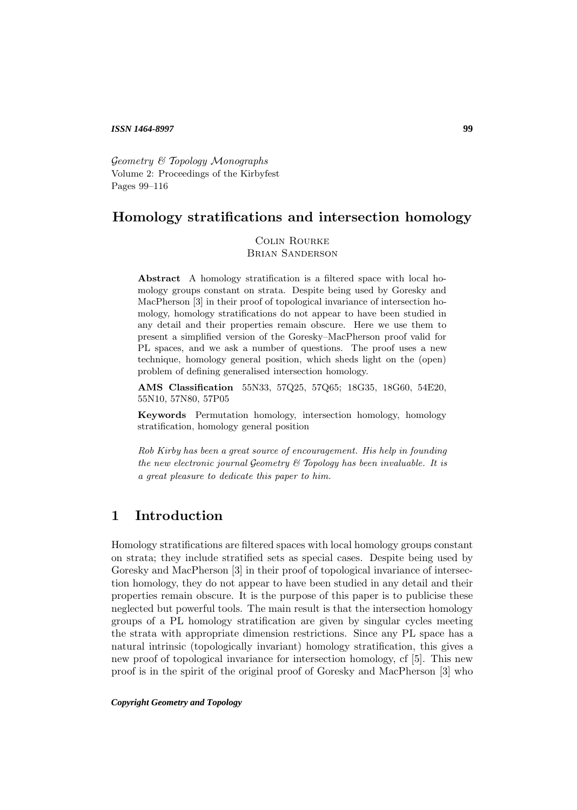#### *ISSN 1464-8997*

Geometry & Topology Monographs Volume 2: Proceedings of the Kirbyfest Pages 99–116

## **Homology stratifications and intersection homology**

Colin Rourke Brian Sanderson

**Abstract** A homology stratification is a filtered space with local homology groups constant on strata. Despite being used by Goresky and MacPherson [3] in their proof of topological invariance of intersection homology, homology stratifications do not appear to have been studied in any detail and their properties remain obscure. Here we use them to present a simplified version of the Goresky–MacPherson proof valid for PL spaces, and we ask a number of questions. The proof uses a new technique, homology general position, which sheds light on the (open) problem of defining generalised intersection homology.

**AMS Classification** 55N33, 57Q25, 57Q65; 18G35, 18G60, 54E20, 55N10, 57N80, 57P05

**Keywords** Permutation homology, intersection homology, homology stratification, homology general position

Rob Kirby has been a great source of encouragement. His help in founding the new electronic journal Geometry & Topology has been invaluable. It is a great pleasure to dedicate this paper to him.

# **1 Introduction**

Homology stratifications are filtered spaces with local homology groups constant on strata; they include stratified sets as special cases. Despite being used by Goresky and MacPherson [3] in their proof of topological invariance of intersection homology, they do not appear to have been studied in any detail and their properties remain obscure. It is the purpose of this paper is to publicise these neglected but powerful tools. The main result is that the intersection homology groups of a PL homology stratification are given by singular cycles meeting the strata with appropriate dimension restrictions. Since any PL space has a natural intrinsic (topologically invariant) homology stratification, this gives a new proof of topological invariance for intersection homology, cf [5]. This new proof is in the spirit of the original proof of Goresky and MacPherson [3] who

*Copyright Geometry and Topology*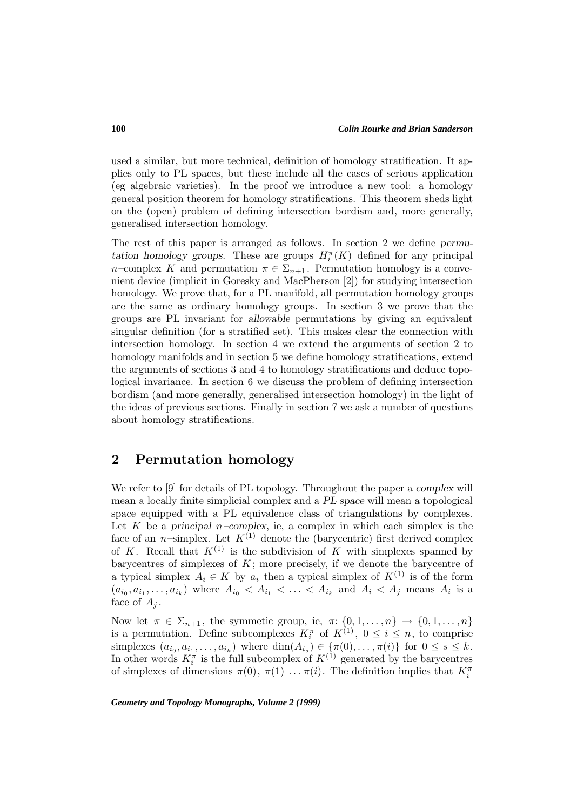used a similar, but more technical, definition of homology stratification. It applies only to PL spaces, but these include all the cases of serious application (eg algebraic varieties). In the proof we introduce a new tool: a homology general position theorem for homology stratifications. This theorem sheds light on the (open) problem of defining intersection bordism and, more generally, generalised intersection homology.

The rest of this paper is arranged as follows. In section 2 we define *permutation homology groups.* These are groups  $H_i^{\pi}(K)$  defined for any principal n–complex K and permutation  $\pi \in \Sigma_{n+1}$ . Permutation homology is a convenient device (implicit in Goresky and MacPherson [2]) for studying intersection homology. We prove that, for a PL manifold, all permutation homology groups are the same as ordinary homology groups. In section 3 we prove that the groups are PL invariant for *allowable* permutations by giving an equivalent singular definition (for a stratified set). This makes clear the connection with intersection homology. In section 4 we extend the arguments of section 2 to homology manifolds and in section 5 we define homology stratifications, extend the arguments of sections 3 and 4 to homology stratifications and deduce topological invariance. In section 6 we discuss the problem of defining intersection bordism (and more generally, generalised intersection homology) in the light of the ideas of previous sections. Finally in section 7 we ask a number of questions about homology stratifications.

## **2 Permutation homology**

We refer to [9] for details of PL topology. Throughout the paper a *complex* will mean a locally finite simplicial complex and a *PL space* will mean a topological space equipped with a PL equivalence class of triangulations by complexes. Let  $K$  be a *principal*  $n$ –complex, ie, a complex in which each simplex is the face of an *n*-simplex. Let  $K^{(1)}$  denote the (barycentric) first derived complex of K. Recall that  $K^{(1)}$  is the subdivision of K with simplexes spanned by barycentres of simplexes of  $K$ ; more precisely, if we denote the barycentre of a typical simplex  $A_i \in K$  by  $a_i$  then a typical simplex of  $K^{(1)}$  is of the form  $(a_{i_0}, a_{i_1}, \ldots, a_{i_k})$  where  $A_{i_0} < A_{i_1} < \ldots < A_{i_k}$  and  $A_i < A_j$  means  $A_i$  is a face of  $A_j$ .

Now let  $\pi \in \Sigma_{n+1}$ , the symmetic group, ie,  $\pi: \{0, 1, \ldots, n\} \to \{0, 1, \ldots, n\}$ is a permutation. Define subcomplexes  $K_i^{\pi}$  of  $K^{(1)}$ ,  $0 \leq i \leq n$ , to comprise simplexes  $(a_{i_0}, a_{i_1},...,a_{i_k})$  where  $\dim(A_{i_s}) \in {\pi(0),..., \pi(i)}$  for  $0 \leq s \leq k$ . In other words  $K_i^{\pi}$  is the full subcomplex of  $K^{(1)}$  generated by the barycentres of simplexes of dimensions  $\pi(0), \pi(1) \dots \pi(i)$ . The definition implies that  $K_i^{\pi}$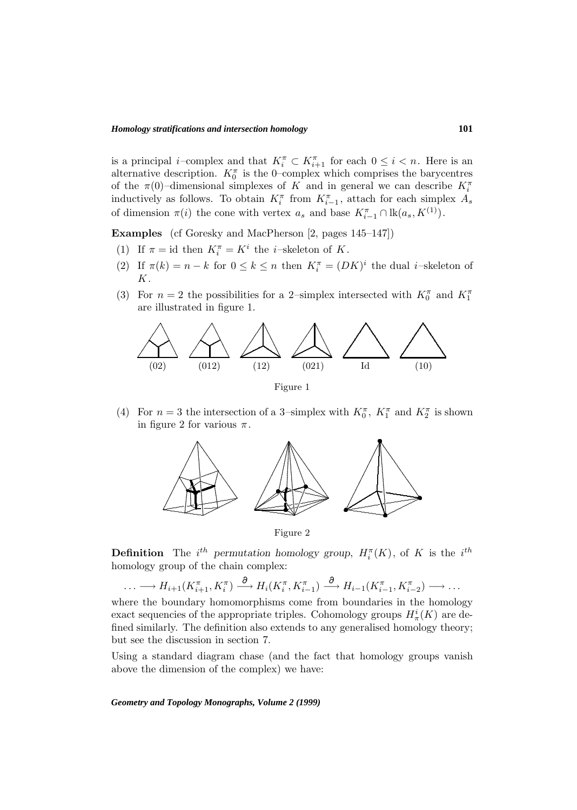is a principal *i*-complex and that  $K_i^{\pi} \subset K_{i+1}^{\pi}$  for each  $0 \leq i < n$ . Here is an alternative description.  $K_0^{\pi}$  is the 0-complex which comprises the barycentres of the  $\pi(0)$ -dimensional simplexes of K and in general we can describe  $K_i^{\pi}$ inductively as follows. To obtain  $K_i^{\pi}$  from  $K_{i-1}^{\pi}$ , attach for each simplex  $A_s$ of dimension  $\pi(i)$  the cone with vertex  $a_s$  and base  $K_{i-1}^{\pi} \cap \text{lk}(a_s, K^{(1)})$ .

**Examples** (cf Goresky and MacPherson [2, pages 145–147])

- (1) If  $\pi = id$  then  $K_i^{\pi} = K^i$  the *i*-skeleton of K.
- (2) If  $\pi(k) = n k$  for  $0 \leq k \leq n$  then  $K_i^{\pi} = (DK)^i$  the dual *i*-skeleton of  $K$ .
- (3) For  $n = 2$  the possibilities for a 2-simplex intersected with  $K_0^{\pi}$  and  $K_1^{\pi}$ are illustrated in figure 1.



(4) For  $n=3$  the intersection of a 3-simplex with  $K_0^{\pi}$ ,  $K_1^{\pi}$  and  $K_2^{\pi}$  is shown in figure 2 for various  $\pi$ .



Figure 2

**Definition** The i<sup>th</sup> permutation homology group,  $H_i^{\pi}(K)$ , of K is the i<sup>th</sup> homology group of the chain complex:

 $\ldots \longrightarrow H_{i+1}(K^{\pi}_{i+1}, K^{\pi}_{i}) \stackrel{\partial}{\longrightarrow} H_{i}(K^{\pi}_{i}, K^{\pi}_{i-1}) \stackrel{\partial}{\longrightarrow} H_{i-1}(K^{\pi}_{i-1}, K^{\pi}_{i-2}) \longrightarrow \ldots$ 

where the boundary homomorphisms come from boundaries in the homology exact sequencies of the appropriate triples. Cohomology groups  $H^i_\pi(K)$  are defined similarly. The definition also extends to any generalised homology theory; but see the discussion in section 7.

Using a standard diagram chase (and the fact that homology groups vanish above the dimension of the complex) we have: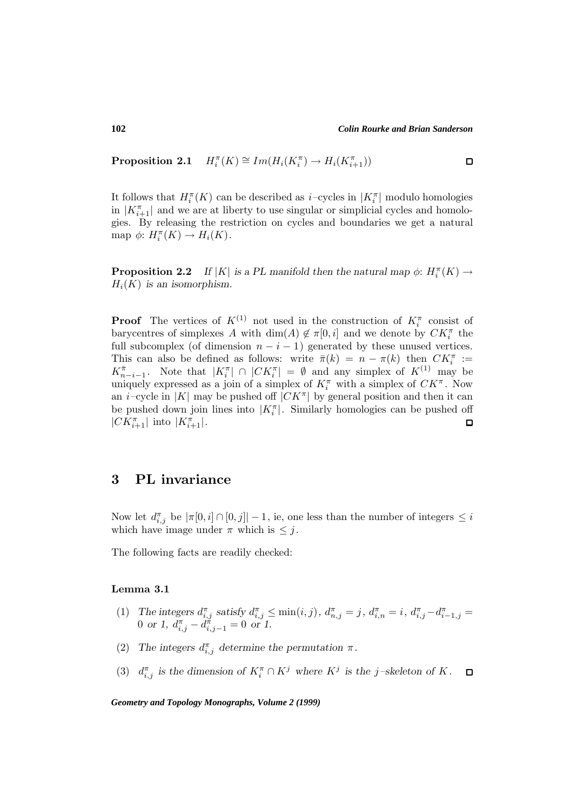**Proposition 2.1**  $H_i^{\pi}(K) \cong Im(H_i(K_i^{\pi}) \to H_i(K_{i+1}^{\pi}))$ 

It follows that  $H_i^{\pi}(K)$  can be described as *i*-cycles in  $|K_i^{\pi}|$  modulo homologies in  $|K_{i+1}^{\pi}|$  and we are at liberty to use singular or simplicial cycles and homologies. By releasing the restriction on cycles and boundaries we get a natural map  $\phi: H_i^{\pi}(K) \to H_i(K)$ .

**Proposition 2.2** *If*  $|K|$  *is a PL manifold then the natural map*  $\phi: H_i^{\pi}(K) \to$  $H_i(K)$  *is an isomorphism.* 

**Proof** The vertices of  $K^{(1)}$  not used in the construction of  $K_i^{\pi}$  consist of barycentres of simplexes A with  $\dim(A) \notin \pi[0, i]$  and we denote by  $CK_i^{\pi}$  the full subcomplex (of dimension  $n - i - 1$ ) generated by these unused vertices. This can also be defined as follows: write  $\bar{\pi}(k) = n - \pi(k)$  then  $CK_i^{\pi} :=$  $K_{n-i-1}^{\pi}$ . Note that  $|K_i^{\pi}| \cap |CK_i^{\pi}| = \emptyset$  and any simplex of  $K^{(1)}$  may be uniquely expressed as a join of a simplex of  $K_i^{\pi}$  with a simplex of  $CK^{\pi}$ . Now an *i*–cycle in |K| may be pushed off  $|CK^{\pi}|$  by general position and then it can be pushed down join lines into  $|K_i^{\pi}|$ . Similarly homologies can be pushed off  $|CK_{i+1}^{\pi}|$  into  $|K_{i+1}^{\pi}|$ .  $\Box$ 

### **3 PL invariance**

Now let  $d_{i,j}^{\pi}$  be  $|\pi[0,i] \cap [0,j]|-1$ , ie, one less than the number of integers  $\leq i$ which have image under  $\pi$  which is  $\leq j$ .

The following facts are readily checked:

### **Lemma 3.1**

- (1) The integers  $d_{i,j}^{\pi}$  satisfy  $d_{i,j}^{\pi} \le \min(i,j)$ ,  $d_{n,j}^{\pi} = j$ ,  $d_{i,n}^{\pi} = i$ ,  $d_{i,j}^{\pi} d_{i-1,j}^{\pi} = j$ 0 or 1,  $d_{i,j}^{\pi} - d_{i,j-1}^{\pi} = 0$  or 1.
- (2) The integers  $d_{i,j}^{\pi}$  determine the permutation  $\pi$ .
- (3)  $d_{i,j}^{\pi}$  is the dimension of  $K_i^{\pi} \cap K_j^j$  where  $K_j^j$  is the j-skeleton of K.  $\Box$

*Geometry and Topology Monographs, Volume 2 (1999)*

 $\Box$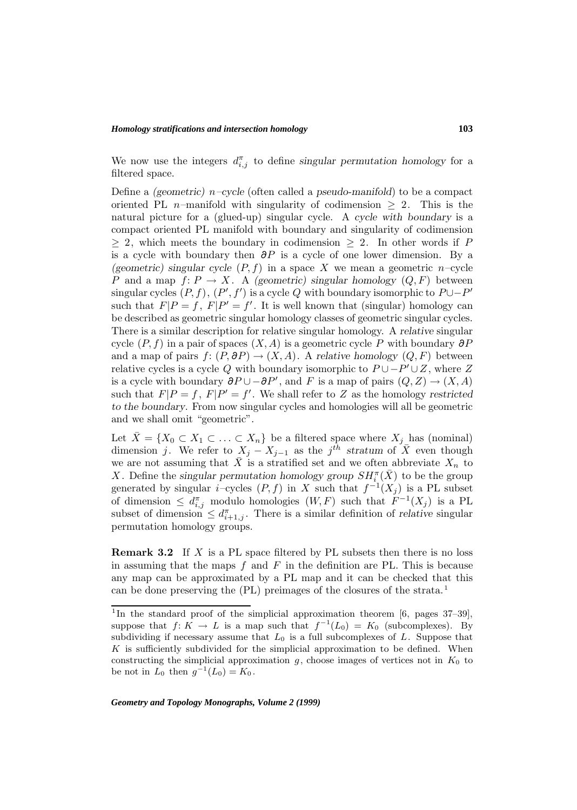We now use the integers  $d_{i,j}^{\pi}$  to define *singular permutation homology* for a filtered space.

Define a *(geometric)* n*–cycle* (often called a *pseudo-manifold*) to be a compact oriented PL n–manifold with singularity of codimension  $\geq 2$ . This is the natural picture for a (glued-up) singular cycle. A *cycle with boundary* is a compact oriented PL manifold with boundary and singularity of codimension  $\geq$  2, which meets the boundary in codimension  $\geq$  2. In other words if P is a cycle with boundary then  $\partial P$  is a cycle of one lower dimension. By a (geometric) singular cycle  $(P, f)$  in a space X we mean a geometric n–cycle P and a map  $f: P \to X$ . A *(geometric)* singular homology  $(Q, F)$  between singular cycles  $(P, f), (P', f')$  is a cycle Q with boundary isomorphic to  $P \cup -P'$ such that  $F|P = f$ ,  $F|P' = f'$ . It is well known that (singular) homology can be described as geometric singular homology classes of geometric singular cycles. There is a similar description for relative singular homology. A *relative* singular cycle  $(P, f)$  in a pair of spaces  $(X, A)$  is a geometric cycle P with boundary  $\partial P$ and a map of pairs  $f: (P, \partial P) \to (X, A)$ . A *relative homology*  $(Q, F)$  between relative cycles is a cycle Q with boundary isomorphic to  $P \cup -P' \cup Z$ , where Z is a cycle with boundary  $\partial P \cup -\partial P'$ , and F is a map of pairs  $(Q, Z) \rightarrow (X, A)$ such that  $F|P = f$ ,  $F|P' = f'$ . We shall refer to Z as the homology *restricted to the boundary*. From now singular cycles and homologies will all be geometric and we shall omit "geometric".

Let  $\bar{X} = \{X_0 \subset X_1 \subset \ldots \subset X_n\}$  be a filtered space where  $X_j$  has (nominal) dimension j. We refer to  $X_j - X_{j-1}$  as the j<sup>th</sup> stratum of  $\overline{X}$  even though we are not assuming that  $\bar{X}$  is a stratified set and we often abbreviate  $X_n$  to X. Define the *singular permutation homology group*  $SH_i^{\pi}(\bar{X})$  to be the group generated by singular *i*–cycles  $(P, f)$  in X such that  $f^{-1}(X_j)$  is a PL subset of dimension  $\leq d_{i,j}^{\pi}$  modulo homologies  $(W, F)$  such that  $F^{-1}(X_j)$  is a PL subset of dimension  $\leq d_{i+1,j}^{\pi}$ . There is a similar definition of *relative* singular permutation homology groups.

**Remark 3.2** If X is a PL space filtered by PL subsets then there is no loss in assuming that the maps  $f$  and  $F$  in the definition are PL. This is because any map can be approximated by a PL map and it can be checked that this can be done preserving the (PL) preimages of the closures of the strata.<sup>1</sup>

<sup>&</sup>lt;sup>1</sup>In the standard proof of the simplicial approximation theorem [6, pages  $37-39$ ], suppose that  $f: K \to L$  is a map such that  $f^{-1}(L_0) = K_0$  (subcomplexes). By subdividing if necessary assume that  $L_0$  is a full subcomplexes of  $L$ . Suppose that  $K$  is sufficiently subdivided for the simplicial approximation to be defined. When constructing the simplicial approximation  $g$ , choose images of vertices not in  $K_0$  to be not in  $L_0$  then  $g^{-1}(L_0) = K_0$ .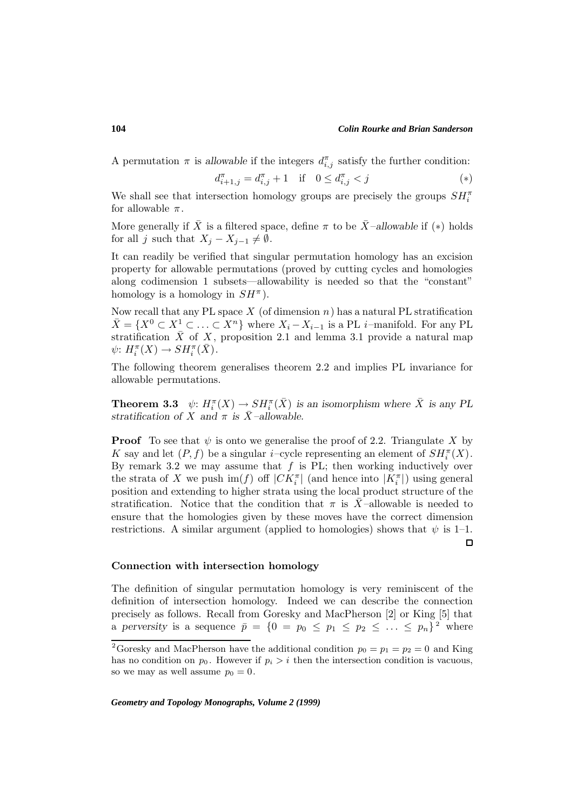A permutation  $\pi$  is allowable if the integers  $d_{i,j}^{\pi}$  satisfy the further condition:

$$
d_{i+1,j}^{\pi} = d_{i,j}^{\pi} + 1 \quad \text{if} \quad 0 \le d_{i,j}^{\pi} < j \tag{*}
$$

We shall see that intersection homology groups are precisely the groups  $SH_i^{\pi}$ for allowable  $\pi$ .

More generally if  $\overline{X}$  is a filtered space, define  $\pi$  to be  $\overline{X}$ –*allowable* if (\*) holds for all j such that  $X_j - X_{j-1} \neq \emptyset$ .

It can readily be verified that singular permutation homology has an excision property for allowable permutations (proved by cutting cycles and homologies along codimension 1 subsets—allowability is needed so that the "constant" homology is a homology in  $SH^{\pi}$ ).

Now recall that any PL space  $X$  (of dimension  $n$ ) has a natural PL stratification  $\bar{X} = \{X^0 \subset X_\_1^1 \subset \ldots \subset X^n\}$  where  $X_i - X_{i-1}$  is a PL i–manifold. For any PL stratification  $\bar{X}$  of X, proposition 2.1 and lemma 3.1 provide a natural map  $\psi: H_i^{\pi}(X) \to SH_i^{\pi}(\overline{X}).$ 

The following theorem generalises theorem 2.2 and implies PL invariance for allowable permutations.

**Theorem 3.3**  $\psi: H_i^{\pi}(X) \to SH_i^{\pi}(\bar{X})$  *is an isomorphism where*  $\bar{X}$  *is any PL stratification of* X *and*  $\pi$  *is*  $\overline{X}$ *–allowable.* 

**Proof** To see that  $\psi$  is onto we generalise the proof of 2.2. Triangulate X by K say and let  $(P, f)$  be a singular *i*-cycle representing an element of  $SH_i^{\pi}(X)$ . By remark 3.2 we may assume that  $f$  is PL; then working inductively over the strata of X we push  $\text{im}(f)$  off  $|CK_i^{\pi}|$  (and hence into  $|K_i^{\pi}|$ ) using general position and extending to higher strata using the local product structure of the stratification. Notice that the condition that  $\pi$  is X-allowable is needed to ensure that the homologies given by these moves have the correct dimension restrictions. A similar argument (applied to homologies) shows that  $\psi$  is 1–1.  $\Box$ 

#### **Connection with intersection homology**

The definition of singular permutation homology is very reminiscent of the definition of intersection homology. Indeed we can describe the connection precisely as follows. Recall from Goresky and MacPherson [2] or King [5] that a perversity is a sequence  $\bar{p} = \{0 = p_0 \le p_1 \le p_2 \le \ldots \le p_n\}^2$  where

*Geometry and Topology Monographs, Volume 2 (1999)*

**104**

<sup>&</sup>lt;sup>2</sup>Goresky and MacPherson have the additional condition  $p_0 = p_1 = p_2 = 0$  and King has no condition on  $p_0$ . However if  $p_i > i$  then the intersection condition is vacuous, so we may as well assume  $p_0 = 0$ .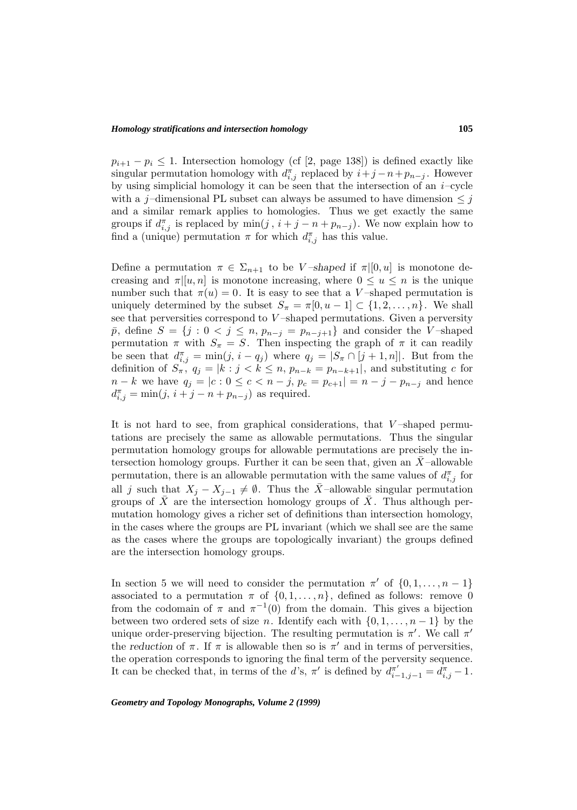#### *Homology stratifications and intersection homology*

 $p_{i+1} - p_i \leq 1$ . Intersection homology (cf [2, page 138]) is defined exactly like singular permutation homology with  $d_{i,j}^{\pi}$  replaced by  $i+j-n+p_{n-j}$ . However by using simplicial homology it can be seen that the intersection of an  $i$ –cycle with a j-dimensional PL subset can always be assumed to have dimension  $\leq j$ and a similar remark applies to homologies. Thus we get exactly the same groups if  $d_{i,j}^{\pi}$  is replaced by  $\min(j, i + j - n + p_{n-j})$ . We now explain how to find a (unique) permutation  $\pi$  for which  $d_{i,j}^{\pi}$  has this value.

Define a permutation  $\pi \in \Sigma_{n+1}$  to be V-shaped if  $\pi|[0, u]$  is monotone decreasing and  $\pi[[u,n]]$  is monotone increasing, where  $0 \le u \le n$  is the unique number such that  $\pi(u) = 0$ . It is easy to see that a V-shaped permutation is uniquely determined by the subset  $S_{\pi} = \pi[0, u - 1] \subset \{1, 2, ..., n\}$ . We shall see that perversities correspond to V-shaped permutations. Given a perversity  $\bar{p}$ , define  $S = \{j : 0 \le j \le n, p_{n-j} = p_{n-j+1}\}\$ and consider the V-shaped permutation  $\pi$  with  $S_{\pi} = S$ . Then inspecting the graph of  $\pi$  it can readily be seen that  $d_{i,j}^{\pi} = \min(j, i - q_j)$  where  $q_j = |S_{\pi} \cap [j + 1, n]|$ . But from the definition of  $S_{\pi}$ ,  $q_j = |k : j < k \leq n$ ,  $p_{n-k} = p_{n-k+1}|$ , and substituting c for  $n - k$  we have  $q_j = |c : 0 \leq c < n - j$ ,  $p_c = p_{c+1}| = n - j - p_{n-j}$  and hence  $d_{i,j}^{\pi} = \min(j, i + j - n + p_{n-j})$  as required.

It is not hard to see, from graphical considerations, that  $V$ -shaped permutations are precisely the same as allowable permutations. Thus the singular permutation homology groups for allowable permutations are precisely the intersection homology groups. Further it can be seen that, given an  $X$ -allowable permutation, there is an allowable permutation with the same values of  $d_{i,j}^{\pi}$  for all j such that  $X_j - X_{j-1} \neq \emptyset$ . Thus the  $\overline{X}$ -allowable singular permutation groups of  $\overline{X}$  are the intersection homology groups of  $\overline{X}$ . Thus although permutation homology gives a richer set of definitions than intersection homology, in the cases where the groups are PL invariant (which we shall see are the same as the cases where the groups are topologically invariant) the groups defined are the intersection homology groups.

In section 5 we will need to consider the permutation  $\pi'$  of  $\{0, 1, \ldots, n - 1\}$ associated to a permutation  $\pi$  of  $\{0, 1, \ldots, n\}$ , defined as follows: remove 0 from the codomain of  $\pi$  and  $\pi^{-1}(0)$  from the domain. This gives a bijection between two ordered sets of size n. Identify each with  $\{0, 1, \ldots, n-1\}$  by the unique order-preserving bijection. The resulting permutation is  $\pi'$ . We call  $\pi'$ the *reduction* of  $\pi$ . If  $\pi$  is allowable then so is  $\pi'$  and in terms of perversities, the operation corresponds to ignoring the final term of the perversity sequence. It can be checked that, in terms of the d's,  $\pi'$  is defined by  $d_{i-1,j-1}^{\pi'} = d_{i,j}^{\pi} - 1$ .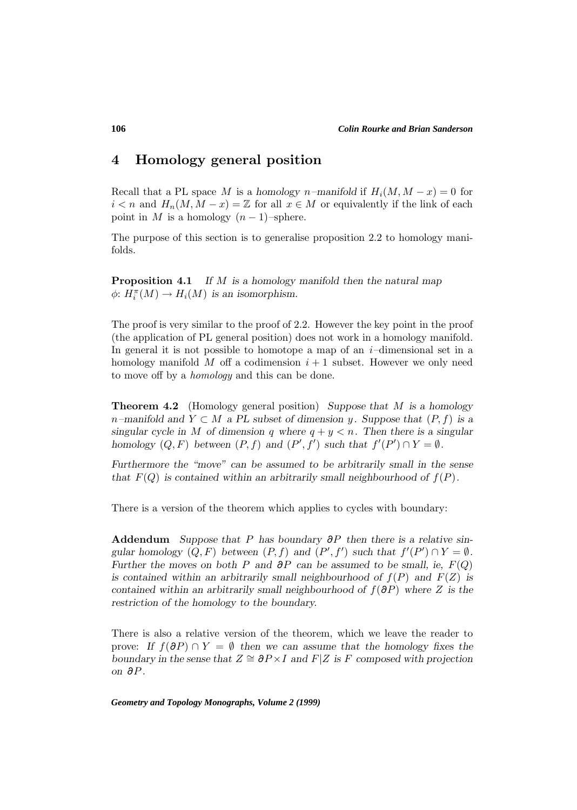# **4 Homology general position**

Recall that a PL space M is a *homology* n–manifold if  $H_i(M, M - x) = 0$  for  $i < n$  and  $H_n(M, M - x) = \mathbb{Z}$  for all  $x \in M$  or equivalently if the link of each point in M is a homology  $(n-1)$ –sphere.

The purpose of this section is to generalise proposition 2.2 to homology manifolds.

**Proposition 4.1** *If* M *is a homology manifold then the natural map*  $\phi: H_i^{\pi}(M) \to H_i(M)$  is an isomorphism.

The proof is very similar to the proof of 2.2. However the key point in the proof (the application of PL general position) does not work in a homology manifold. In general it is not possible to homotope a map of an  $i$ -dimensional set in a homology manifold M off a codimension  $i + 1$  subset. However we only need to move off by a homology and this can be done.

**Theorem 4.2** (Homology general position) *Suppose that* M *is a homology* n*–manifold and* Y ⊂ M *a PL subset of dimension* y*. Suppose that* (P, f) *is a singular cycle in* M of dimension q where  $q + y < n$ . Then there is a singular *homology*  $(Q, F)$  *between*  $(P, f)$  *and*  $(P', f')$  *such that*  $f'(P') \cap Y = \emptyset$ *.* 

*Furthermore the "move" can be assumed to be arbitrarily small in the sense that*  $F(Q)$  *is contained within an arbitrarily small neighbourhood of*  $f(P)$ *.* 

There is a version of the theorem which applies to cycles with boundary:

**Addendum** *Suppose that* P *has boundary* ∂P *then there is a relative singular homology*  $(Q, F)$  *between*  $(P, f)$  *and*  $(P', f')$  *such that*  $f'(P') \cap Y = \emptyset$ *. Further the moves on both* P *and*  $\partial P$  *can be assumed to be small, ie,*  $F(Q)$ is contained within an arbitrarily small neighbourhood of  $f(P)$  and  $F(Z)$  is *contained within an arbitrarily small neighbourhood of*  $f(\partial P)$  *where* Z *is the restriction of the homology to the boundary.*

There is also a relative version of the theorem, which we leave the reader to prove: *If*  $f(\partial P) \cap Y = \emptyset$  *then we can assume that the homology fixes the boundary in the sense that*  $Z \cong \partial P \times I$  *and*  $F|Z$  *is* F *composed with projection on* ∂P *.*

*Geometry and Topology Monographs, Volume 2 (1999)*

**106**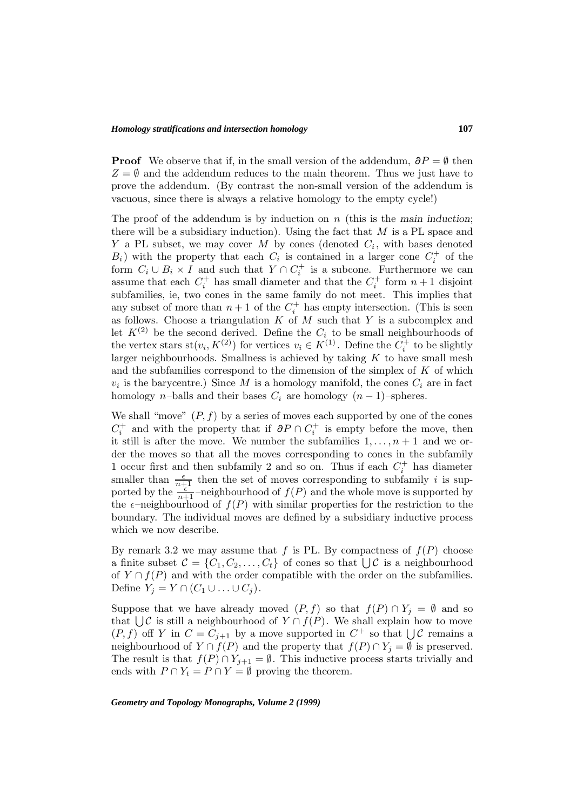**Proof** We observe that if, in the small version of the addendum,  $\partial P = \emptyset$  then  $Z = \emptyset$  and the addendum reduces to the main theorem. Thus we just have to prove the addendum. (By contrast the non-small version of the addendum is vacuous, since there is always a relative homology to the empty cycle!)

The proof of the addendum is by induction on n (this is the *main induction*; there will be a subsidiary induction). Using the fact that  $M$  is a PL space and Y a PL subset, we may cover M by cones (denoted  $C_i$ , with bases denoted  $B_i$ ) with the property that each  $C_i$  is contained in a larger cone  $C_i^+$  of the form  $C_i \cup B_i \times I$  and such that  $Y \cap C_i^+$  is a subcone. Furthermore we can assume that each  $C_i^+$  has small diameter and that the  $C_i^+$  form  $n+1$  disjoint subfamilies, ie, two cones in the same family do not meet. This implies that any subset of more than  $n+1$  of the  $C_i^+$  has empty intersection. (This is seen as follows. Choose a triangulation  $K$  of  $M$  such that  $Y$  is a subcomplex and let  $K^{(2)}$  be the second derived. Define the  $C_i$  to be small neighbourhoods of the vertex stars  $st(v_i, K^{(2)})$  for vertices  $v_i \in K^{(1)}$ . Define the  $C_i^+$  to be slightly larger neighbourhoods. Smallness is achieved by taking  $K$  to have small mesh and the subfamilies correspond to the dimension of the simplex of  $K$  of which  $v_i$  is the barycentre.) Since M is a homology manifold, the cones  $C_i$  are in fact homology n–balls and their bases  $C_i$  are homology  $(n-1)$ –spheres.

We shall "move"  $(P, f)$  by a series of moves each supported by one of the cones  $C_i^+$  and with the property that if  $\partial P \cap C_i^+$  is empty before the move, then it still is after the move. We number the subfamilies  $1, \ldots, n+1$  and we order the moves so that all the moves corresponding to cones in the subfamily 1 occur first and then subfamily 2 and so on. Thus if each  $C_i^+$  has diameter smaller than  $\frac{\epsilon}{n+1}$  then the set of moves corresponding to subfamily i is supported by the  $\frac{n+1}{n+1}$ -neighbourhood of  $f(P)$  and the whole move is supported by the  $\epsilon$ -neighbourhood of  $f(P)$  with similar properties for the restriction to the boundary. The individual moves are defined by a subsidiary inductive process which we now describe.

By remark 3.2 we may assume that f is PL. By compactness of  $f(P)$  choose a finite subset  $\mathcal{C} = \{C_1, C_2, \ldots, C_t\}$  of cones so that  $\bigcup \mathcal{C}$  is a neighbourhood of  $Y \cap f(P)$  and with the order compatible with the order on the subfamilies. Define  $Y_j = Y \cap (C_1 \cup \ldots \cup C_j)$ .

Suppose that we have already moved  $(P, f)$  so that  $f(P) \cap Y_i = \emptyset$  and so that  $\bigcup \mathcal{C}$  is still a neighbourhood of  $Y \cap f(P)$ . We shall explain how to move  $(P, f)$  off Y in  $C = C_{j+1}$  by a move supported in  $C^+$  so that  $\bigcup \mathcal{C}$  remains a neighbourhood of  $Y \cap f(P)$  and the property that  $f(P) \cap Y_j = \emptyset$  is preserved. The result is that  $f(P) \cap Y_{j+1} = \emptyset$ . This inductive process starts trivially and ends with  $P \cap Y_t = P \cap Y = \emptyset$  proving the theorem.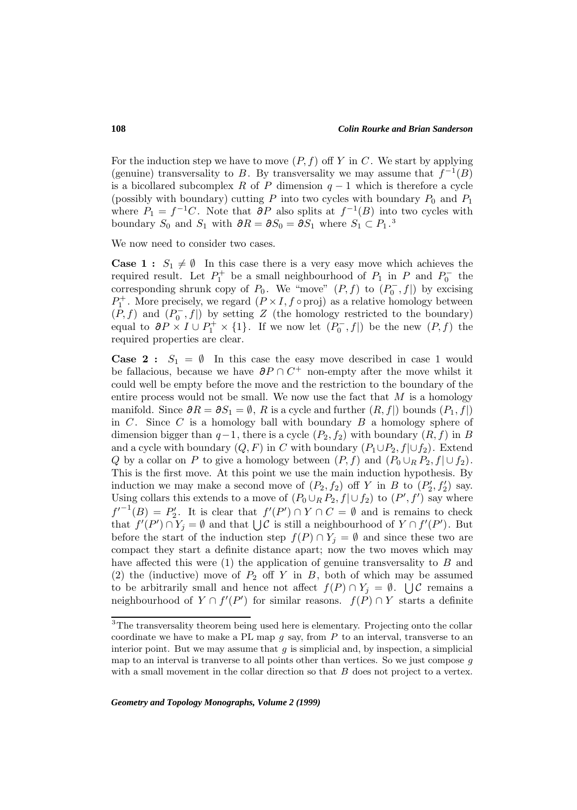For the induction step we have to move  $(P, f)$  off Y in C. We start by applying (genuine) transversality to B. By transversality we may assume that  $f^{-1}(B)$ is a bicollared subcomplex R of P dimension  $q-1$  which is therefore a cycle (possibly with boundary) cutting  $P$  into two cycles with boundary  $P_0$  and  $P_1$ where  $P_1 = f^{-1}C$ . Note that  $\partial P$  also splits at  $f^{-1}(B)$  into two cycles with boundary  $S_0$  and  $S_1$  with  $\partial R = \partial S_0 = \partial S_1$  where  $S_1 \subset P_1$ .<sup>3</sup>

We now need to consider two cases.

**Case 1 :**  $S_1 \neq \emptyset$  In this case there is a very easy move which achieves the required result. Let  $P_1^+$  be a small neighbourhood of  $P_1$  in P and  $P_0^-$  the corresponding shrunk copy of  $P_0$ . We "move"  $(P, f)$  to  $(P_0^-, f|)$  by excising  $P_1^+$ . More precisely, we regard  $(P \times I, f \circ \text{proj})$  as a relative homology between  $(P, f)$  and  $(P_0^-, f|)$  by setting Z (the homology restricted to the boundary) equal to  $\partial P \times I \cup P_1^+ \times \{1\}$ . If we now let  $(P_0^-, f)$  be the new  $(P, f)$  the required properties are clear.

**Case 2 :**  $S_1 = \emptyset$  In this case the easy move described in case 1 would be fallacious, because we have  $\partial P \cap C^+$  non-empty after the move whilst it could well be empty before the move and the restriction to the boundary of the entire process would not be small. We now use the fact that  $M$  is a homology manifold. Since  $\partial R = \partial S_1 = \emptyset$ , R is a cycle and further  $(R, f)$  bounds  $(P_1, f)$ in  $C$ . Since  $C$  is a homology ball with boundary  $B$  a homology sphere of dimension bigger than  $q-1$ , there is a cycle  $(P_2, f_2)$  with boundary  $(R, f)$  in B and a cycle with boundary  $(Q, F)$  in C with boundary  $(P_1 \cup P_2, f | \cup f_2)$ . Extend Q by a collar on P to give a homology between  $(P, f)$  and  $(P_0 \cup_R P_2, f] \cup f_2$ . This is the first move. At this point we use the main induction hypothesis. By induction we may make a second move of  $(P_2, f_2)$  off Y in B to  $(P'_2, f'_2)$  say. Using collars this extends to a move of  $(P_0 \cup_R P_2, f \mid \cup f_2)$  to  $(P', f')$  say where  $f'^{-1}(B) = P'_2$ . It is clear that  $f'(P') \cap Y \cap C = \emptyset$  and is remains to check that  $f'(P') \cap Y_j = \emptyset$  and that  $\bigcup \mathcal{C}$  is still a neighbourhood of  $Y \cap f'(P')$ . But before the start of the induction step  $f(P) \cap Y_j = \emptyset$  and since these two are compact they start a definite distance apart; now the two moves which may have affected this were  $(1)$  the application of genuine transversality to  $B$  and (2) the (inductive) move of  $P_2$  off Y in B, both of which may be assumed to be arbitrarily small and hence not affect  $f(P) \cap Y_j = \emptyset$ .  $\bigcup \mathcal{C}$  remains a neighbourhood of  $Y \cap f'(P')$  for similar reasons.  $f(P) \cap Y$  starts a definite

<sup>&</sup>lt;sup>3</sup>The transversality theorem being used here is elementary. Projecting onto the collar coordinate we have to make a PL map  $q$  say, from  $P$  to an interval, transverse to an interior point. But we may assume that  $g$  is simplicial and, by inspection, a simplicial map to an interval is tranverse to all points other than vertices. So we just compose  $q$ with a small movement in the collar direction so that  $B$  does not project to a vertex.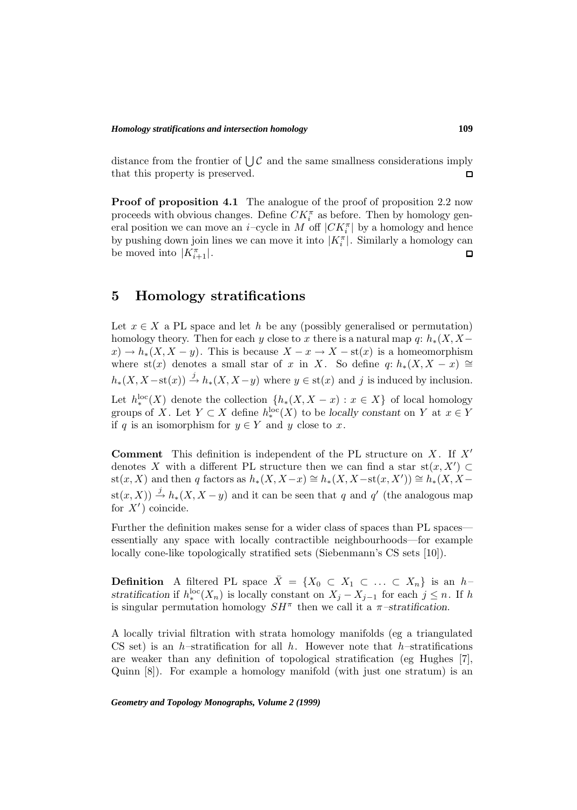distance from the frontier of  $\bigcup \mathcal{C}$  and the same smallness considerations imply that this property is preserved.  $\Box$ 

**Proof of proposition 4.1** The analogue of the proof of proposition 2.2 now proceeds with obvious changes. Define  $CK_i^{\pi}$  as before. Then by homology general position we can move an  $i$ -cycle in M off  $|CK_i^{\pi}|$  by a homology and hence by pushing down join lines we can move it into  $|K_i^{\pi}|$ . Similarly a homology can be moved into  $|K_{i+1}^{\pi}|$ .  $\Box$ 

## **5 Homology stratifications**

Let  $x \in X$  a PL space and let h be any (possibly generalised or permutation) homology theory. Then for each y close to x there is a natural map q:  $h_*(X, X$  $x) \to h_*(X, X - y)$ . This is because  $X - x \to X - \text{st}(x)$  is a homeomorphism where st(x) denotes a small star of x in X. So define q:  $h_*(X, X - x) \cong$  $h_*(X, X - \text{st}(x)) \stackrel{j}{\rightarrow} h_*(X, X - y)$  where  $y \in \text{st}(x)$  and j is induced by inclusion.

Let  $h_*^{\text{loc}}(X)$  denote the collection  $\{h_*(X, X - x) : x \in X\}$  of local homology groups of X. Let  $Y \subset X$  define  $h^{\text{loc}}_*(X)$  to be *locally constant* on Y at  $x \in Y$ if q is an isomorphism for  $y \in Y$  and y close to x.

**Comment** This definition is independent of the PL structure on  $X$ . If  $X'$ denotes X with a different PL structure then we can find a star st $(x, X') \subset$ st(x, X) and then q factors as  $h_*(X, X-x) \cong h_*(X, X-\text{st}(x, X')) \cong h_*(X, X-\text{st}(x, X))$  $\text{st}(x, X)$   $\stackrel{j}{\rightarrow} h_*(X, X - y)$  and it can be seen that q and q' (the analogous map for  $X'$ ) coincide.

Further the definition makes sense for a wider class of spaces than PL spaces essentially any space with locally contractible neighbourhoods—for example locally cone-like topologically stratified sets (Siebenmann's CS sets [10]).

**Definition** A filtered PL space  $\bar{X} = \{X_0 \subset X_1 \subset \ldots \subset X_n\}$  is an h*stratification* if  $h_*^{\text{loc}}(X_n)$  is locally constant on  $X_j - X_{j-1}$  for each  $j \leq n$ . If h is singular permutation homology  $SH^{\pi}$  then we call it a  $\pi$ -stratification.

A locally trivial filtration with strata homology manifolds (eg a triangulated CS set) is an h–stratification for all h. However note that h–stratifications are weaker than any definition of topological stratification (eg Hughes [7], Quinn [8]). For example a homology manifold (with just one stratum) is an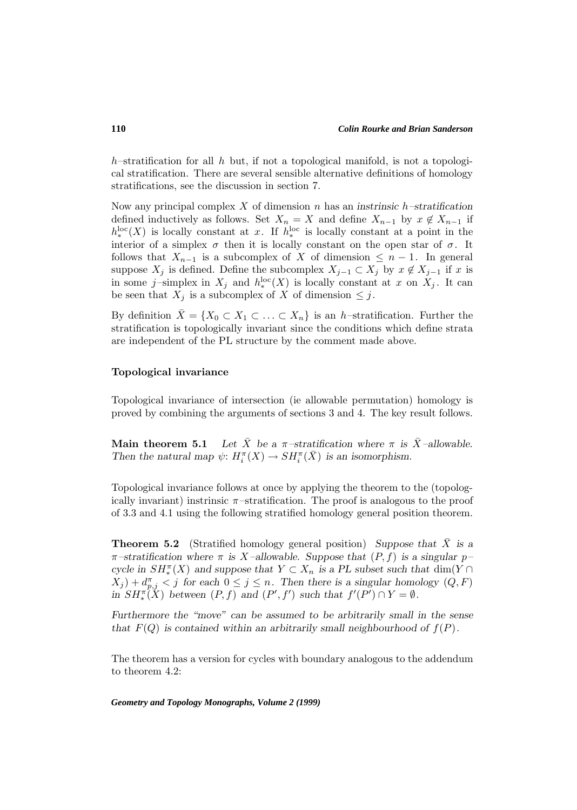h–stratification for all h but, if not a topological manifold, is not a topological stratification. There are several sensible alternative definitions of homology stratifications, see the discussion in section 7.

Now any principal complex X of dimension n has an *instrinsic* h*–stratification* defined inductively as follows. Set  $X_n = X$  and define  $X_{n-1}$  by  $x \notin X_{n-1}$  if  $h_{*}^{\text{loc}}(X)$  is locally constant at x. If  $h_{*}^{\text{loc}}$  is locally constant at a point in the interior of a simplex  $\sigma$  then it is locally constant on the open star of  $\sigma$ . It follows that  $X_{n-1}$  is a subcomplex of X of dimension  $\leq n-1$ . In general suppose  $X_j$  is defined. Define the subcomplex  $X_{j-1} \subset X_j$  by  $x \notin X_{j-1}$  if x is in some j-simplex in  $X_j$  and  $h_*^{\text{loc}}(X)$  is locally constant at x on  $X_j$ . It can be seen that  $X_j$  is a subcomplex of X of dimension  $\leq j$ .

By definition  $X = \{X_0 \subset X_1 \subset \ldots \subset X_n\}$  is an h–stratification. Further the stratification is topologically invariant since the conditions which define strata are independent of the PL structure by the comment made above.

#### **Topological invariance**

Topological invariance of intersection (ie allowable permutation) homology is proved by combining the arguments of sections 3 and 4. The key result follows.

**Main theorem 5.1** Let  $\bar{X}$  be a  $\pi$ -stratification where  $\pi$  is  $\bar{X}$ -allowable. Then the natural map  $\psi: H_i^{\pi}(X) \to SH_i^{\pi}(\bar{X})$  is an isomorphism.

Topological invariance follows at once by applying the theorem to the (topologically invariant) instrinsic  $\pi$ -stratification. The proof is analogous to the proof of 3.3 and 4.1 using the following stratified homology general position theorem.

**Theorem 5.2** (Stratified homology general position) *Suppose that* X is a  $\pi$ -stratification where  $\pi$  is X-allowable. Suppose that  $(P, f)$  is a singular p*cycle in*  $SH_*^{\pi}(X)$  *and suppose that*  $Y \subset X_n$  *is a PL subset such that* dim(Y ∩  $(X_j) + d_{p,j}^{\pi} < j$  for each  $0 \leq j \leq n$ . Then there is a singular homology  $(Q, F)$ *in*  $SH_*^{\pi}(\tilde{X})$  *between*  $(P, f)$  *and*  $(P', f')$  *such that*  $f'(P') \cap Y = \emptyset$ *.* 

*Furthermore the "move" can be assumed to be arbitrarily small in the sense that*  $F(Q)$  *is contained within an arbitrarily small neighbourhood of*  $f(P)$ *.* 

The theorem has a version for cycles with boundary analogous to the addendum to theorem 4.2: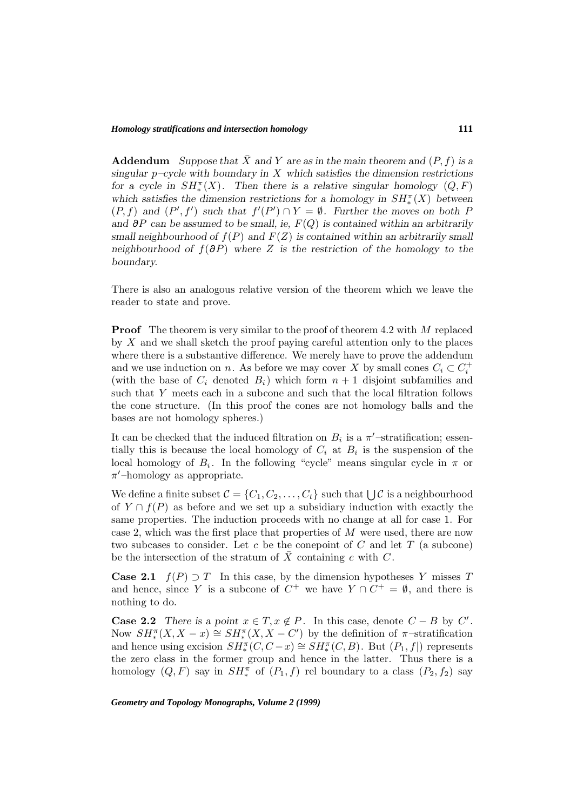### *Homology stratifications and intersection homology*

**Addendum** *Suppose that*  $\bar{X}$  *and* Y *are as in the main theorem and*  $(P, f)$  *is a singular* p*–cycle with boundary in* X *which satisfies the dimension restrictions for a cycle in*  $SH^{\pi}_*(X)$ . Then there is a relative singular homology  $(Q, F)$ *which satisfies the dimension restrictions for a homology in*  $SH^{\pi}_*(X)$  *between*  $(P, f)$  and  $(P', f')$  such that  $f'(P') \cap Y = \emptyset$ . Further the moves on both P *and* ∂P *can be assumed to be small, ie,* F(Q) *is contained within an arbitrarily small neighbourhood of*  $f(P)$  *and*  $F(Z)$  *is contained within an arbitrarily small neighbourhood of* f(∂P) *where* Z *is the restriction of the homology to the boundary.*

There is also an analogous relative version of the theorem which we leave the reader to state and prove.

**Proof** The theorem is very similar to the proof of theorem 4.2 with M replaced by X and we shall sketch the proof paying careful attention only to the places where there is a substantive difference. We merely have to prove the addendum and we use induction on n. As before we may cover X by small cones  $C_i \subset C_i^+$ (with the base of  $C_i$  denoted  $B_i$ ) which form  $n + 1$  disjoint subfamilies and such that Y meets each in a subcone and such that the local filtration follows the cone structure. (In this proof the cones are not homology balls and the bases are not homology spheres.)

It can be checked that the induced filtration on  $B_i$  is a  $\pi'$ -stratification; essentially this is because the local homology of  $C_i$  at  $B_i$  is the suspension of the local homology of  $B_i$ . In the following "cycle" means singular cycle in  $\pi$  or  $\pi$ -homology as appropriate.

We define a finite subset  $\mathcal{C} = \{C_1, C_2, \ldots, C_t\}$  such that  $\bigcup \mathcal{C}$  is a neighbourhood of  $Y \cap f(P)$  as before and we set up a subsidiary induction with exactly the same properties. The induction proceeds with no change at all for case 1. For case 2, which was the first place that properties of  $M$  were used, there are now two subcases to consider. Let c be the conepoint of C and let  $T$  (a subcone) be the intersection of the stratum of  $\overline{X}$  containing c with C.

**Case 2.1**  $f(P) \supset T$  In this case, by the dimension hypotheses Y misses T and hence, since Y is a subcone of  $C^+$  we have  $Y \cap C^+ = \emptyset$ , and there is nothing to do.

**Case 2.2** *There is a point*  $x \in T, x \notin P$ . In this case, denote  $C - B$  by  $C'$ . Now  $SH_*^{\pi}(X, X-x) \cong SH_*^{\pi}(X, X-C')$  by the definition of  $\pi$ -stratification and hence using excision  $SH_*^{\pi}(C, C-x) \cong SH_*^{\pi}(C, B)$ . But  $(P_1, f|)$  represents the zero class in the former group and hence in the latter. Thus there is a homology  $(Q, F)$  say in  $SH_*^{\pi}$  of  $(P_1, f)$  rel boundary to a class  $(P_2, f_2)$  say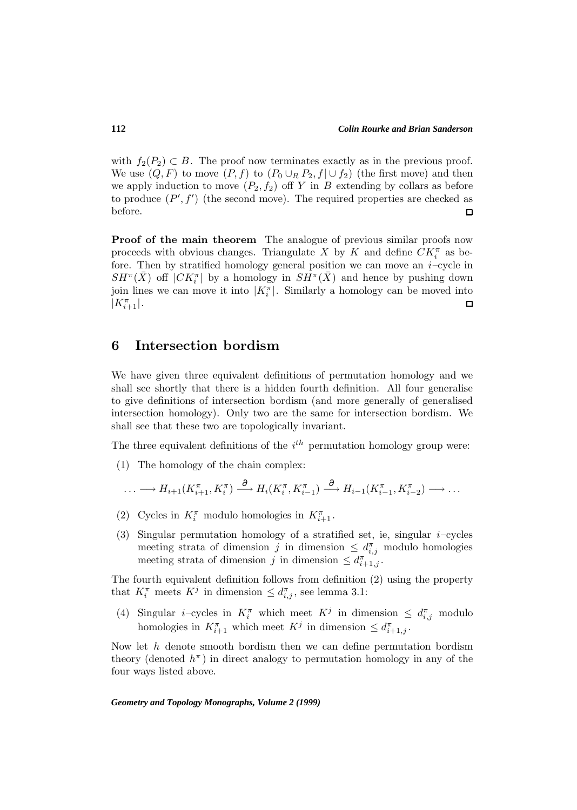with  $f_2(P_2) \subset B$ . The proof now terminates exactly as in the previous proof. We use  $(Q, F)$  to move  $(P, f)$  to  $(P_0 \cup_R P_2, f] \cup f_2$  (the first move) and then we apply induction to move  $(P_2, f_2)$  off Y in B extending by collars as before to produce  $(P', f')$  (the second move). The required properties are checked as before.  $\Box$ 

**Proof of the main theorem** The analogue of previous similar proofs now proceeds with obvious changes. Triangulate X by K and define  $CK_i^{\pi}$  as before. Then by stratified homology general position we can move an  $i$ -cycle in  $SH^{\pi}(\bar{X})$  off  $|CK_i^{\pi}|$  by a homology in  $SH^{\pi}(\bar{X})$  and hence by pushing down join lines we can move it into  $|K_i^{\pi}|$ . Similarly a homology can be moved into  $|K^{\pi}_{i+1}|.$  $\Box$ 

### **6 Intersection bordism**

We have given three equivalent definitions of permutation homology and we shall see shortly that there is a hidden fourth definition. All four generalise to give definitions of intersection bordism (and more generally of generalised intersection homology). Only two are the same for intersection bordism. We shall see that these two are topologically invariant.

The three equivalent definitions of the  $i<sup>th</sup>$  permutation homology group were:

(1) The homology of the chain complex:

$$
\ldots \longrightarrow H_{i+1}(K_{i+1}^{\pi}, K_i^{\pi}) \stackrel{\partial}{\longrightarrow} H_i(K_i^{\pi}, K_{i-1}^{\pi}) \stackrel{\partial}{\longrightarrow} H_{i-1}(K_{i-1}^{\pi}, K_{i-2}^{\pi}) \longrightarrow \ldots
$$

- (2) Cycles in  $K_i^{\pi}$  modulo homologies in  $K_{i+1}^{\pi}$ .
- (3) Singular permutation homology of a stratified set, ie, singular  $i$ -cycles meeting strata of dimension j in dimension  $\leq d_{i,j}^{\pi}$  modulo homologies meeting strata of dimension j in dimension  $\leq d_{i+1,j}^{\pi}$ .

The fourth equivalent definition follows from definition (2) using the property that  $K_i^{\pi}$  meets  $K^j$  in dimension  $\leq d_{i,j}^{\pi}$ , see lemma 3.1:

(4) Singular *i*-cycles in  $K_i^{\pi}$  which meet  $K_j$  in dimension  $\leq d_{i,j}^{\pi}$  modulo homologies in  $K_{i+1}^{\pi}$  which meet  $K^j$  in dimension  $\leq d_{i+1,j}^{\pi}$ .

Now let  $h$  denote smooth bordism then we can define permutation bordism theory (denoted  $h^{\pi}$ ) in direct analogy to permutation homology in any of the four ways listed above.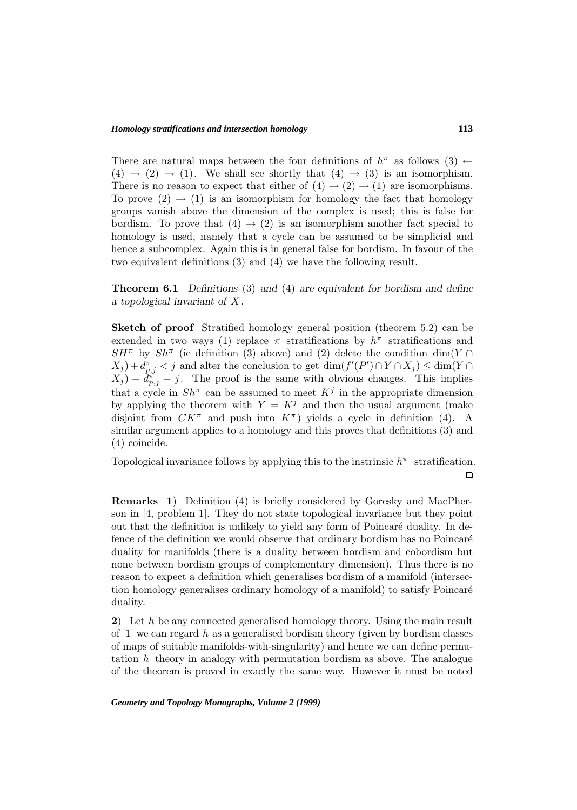There are natural maps between the four definitions of  $h^{\pi}$  as follows (3)  $\leftarrow$  $(4) \rightarrow (2) \rightarrow (1)$ . We shall see shortly that  $(4) \rightarrow (3)$  is an isomorphism. There is no reason to expect that either of  $(4) \rightarrow (2) \rightarrow (1)$  are isomorphisms. To prove  $(2) \rightarrow (1)$  is an isomorphism for homology the fact that homology groups vanish above the dimension of the complex is used; this is false for bordism. To prove that  $(4) \rightarrow (2)$  is an isomorphism another fact special to homology is used, namely that a cycle can be assumed to be simplicial and hence a subcomplex. Again this is in general false for bordism. In favour of the two equivalent definitions (3) and (4) we have the following result.

**Theorem 6.1** *Definitions* (3) *and* (4) *are equivalent for bordism and define a topological invariant of* X *.*

**Sketch of proof** Stratified homology general position (theorem 5.2) can be extended in two ways (1) replace  $\pi$ -stratifications by  $h^{\pi}$ -stratifications and  $SH^{\pi}$  by  $Sh^{\pi}$  (ie definition (3) above) and (2) delete the condition dim(Y ∩  $(X_j) + d_{p,j}^{\pi} < j$  and alter the conclusion to get  $\dim(f'(P') \cap Y \cap X_j) \leq \dim(Y \cap Y)$  $(X_j) + \tilde{d}_{p,j}^{\pi} - j$ . The proof is the same with obvious changes. This implies that a cycle in  $Sh^{\pi}$  can be assumed to meet  $K^{j}$  in the appropriate dimension by applying the theorem with  $Y = K^j$  and then the usual argument (make disjoint from  $CK^{\pi}$  and push into  $K^{\pi}$ ) yields a cycle in definition (4). A similar argument applies to a homology and this proves that definitions (3) and (4) coincide.

Topological invariance follows by applying this to the instrinsic  $h^{\pi}$ -stratification.

**Remarks 1**) Definition (4) is briefly considered by Goresky and MacPherson in [4, problem 1]. They do not state topological invariance but they point out that the definition is unlikely to yield any form of Poincaré duality. In defence of the definition we would observe that ordinary bordism has no Poincaré duality for manifolds (there is a duality between bordism and cobordism but none between bordism groups of complementary dimension). Thus there is no reason to expect a definition which generalises bordism of a manifold (intersection homology generalises ordinary homology of a manifold) to satisfy Poincar´e duality.

**2**) Let h be any connected generalised homology theory. Using the main result of  $[1]$  we can regard h as a generalised bordism theory (given by bordism classes of maps of suitable manifolds-with-singularity) and hence we can define permutation  $h$ –theory in analogy with permutation bordism as above. The analogue of the theorem is proved in exactly the same way. However it must be noted

*Geometry and Topology Monographs, Volume 2 (1999)*

 $\Box$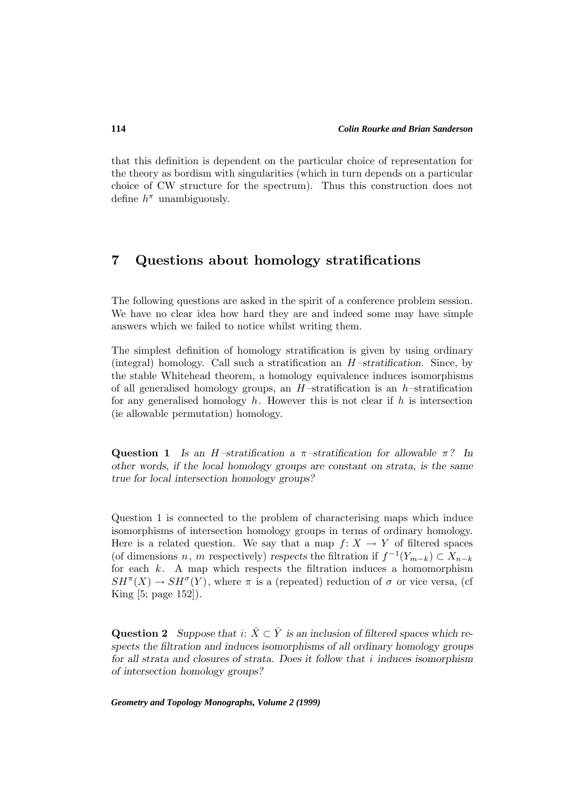that this definition is dependent on the particular choice of representation for the theory as bordism with singularities (which in turn depends on a particular choice of CW structure for the spectrum). Thus this construction does not define  $h^{\pi}$  unambiguously.

## **7 Questions about homology stratifications**

The following questions are asked in the spirit of a conference problem session. We have no clear idea how hard they are and indeed some may have simple answers which we failed to notice whilst writing them.

The simplest definition of homology stratification is given by using ordinary (integral) homology. Call such a stratification an H *–stratification*. Since, by the stable Whitehead theorem, a homology equivalence induces isomorphisms of all generalised homology groups, an  $H$ -stratification is an h-stratification for any generalised homology h. However this is not clear if h is intersection (ie allowable permutation) homology.

**Question 1** *Is an* H *–stratification a* π*–stratification for allowable* π*? In other words, if the local homology groups are constant on strata, is the same true for local intersection homology groups?*

Question 1 is connected to the problem of characterising maps which induce isomorphisms of intersection homology groups in terms of ordinary homology. Here is a related question. We say that a map  $f: X \to Y$  of filtered spaces (of dimensions n, m respectively) respects the filtration if  $f^{-1}(Y_{m-k}) \subset X_{n-k}$ for each  $k$ . A map which respects the filtration induces a homomorphism  $SH^{\pi}(X) \to SH^{\sigma}(Y)$ , where  $\pi$  is a (repeated) reduction of  $\sigma$  or vice versa, (cf King [5; page 152]).

Question 2 *Suppose that*  $i: \overline{X} \subset \overline{Y}$  *is an inclusion of filtered spaces which respects the filtration and induces isomorphisms of all ordinary homology groups for all strata and closures of strata. Does it follow that* i *induces isomorphism of intersection homology groups?*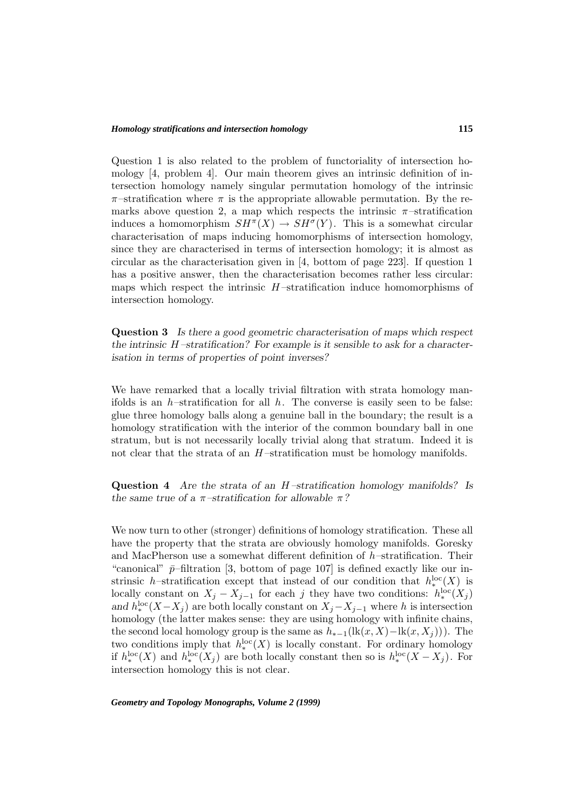### *Homology stratifications and intersection homology*

Question 1 is also related to the problem of functoriality of intersection homology [4, problem 4]. Our main theorem gives an intrinsic definition of intersection homology namely singular permutation homology of the intrinsic  $\pi$ -stratification where  $\pi$  is the appropriate allowable permutation. By the remarks above question 2, a map which respects the intrinsic  $\pi$ -stratification induces a homomorphism  $SH^{\pi}(X) \to SH^{\sigma}(Y)$ . This is a somewhat circular characterisation of maps inducing homomorphisms of intersection homology, since they are characterised in terms of intersection homology; it is almost as circular as the characterisation given in [4, bottom of page 223]. If question 1 has a positive answer, then the characterisation becomes rather less circular: maps which respect the intrinsic  $H$ -stratification induce homomorphisms of intersection homology.

**Question 3** *Is there a good geometric characterisation of maps which respect the intrinsic* H *–stratification? For example is it sensible to ask for a characterisation in terms of properties of point inverses?*

We have remarked that a locally trivial filtration with strata homology manifolds is an h–stratification for all h. The converse is easily seen to be false: glue three homology balls along a genuine ball in the boundary; the result is a homology stratification with the interior of the common boundary ball in one stratum, but is not necessarily locally trivial along that stratum. Indeed it is not clear that the strata of an  $H$ -stratification must be homology manifolds.

**Question 4** *Are the strata of an* H *–stratification homology manifolds? Is the same true of a* π*–stratification for allowable* π*?*

We now turn to other (stronger) definitions of homology stratification. These all have the property that the strata are obviously homology manifolds. Goresky and MacPherson use a somewhat different definition of  $h$ -stratification. Their "canonical"  $\bar{p}$ –filtration [3, bottom of page 107] is defined exactly like our instrinsic h–stratification except that instead of our condition that  $h_*^{\text{loc}}(X)$  is locally constant on  $X_j - X_{j-1}$  for each j they have two conditions:  $h_*^{\text{loc}}(X_j)$ and  $h_i^{\text{loc}}(X-X_j)$  are both locally constant on  $X_j-X_{j-1}$  where h is intersection homology (the latter makes sense: they are using homology with infinite chains, the second local homology group is the same as  $h_{*-1}(\text{lk}(x, X) - \text{lk}(x, X_i)))$ . The two conditions imply that  $h_*^{\text{loc}}(X)$  is locally constant. For ordinary homology if  $h^{\text{loc}}_*(X)$  and  $h^{\text{loc}}_*(X_j)$  are both locally constant then so is  $h^{\text{loc}}_*(X-X_j)$ . For intersection homology this is not clear.